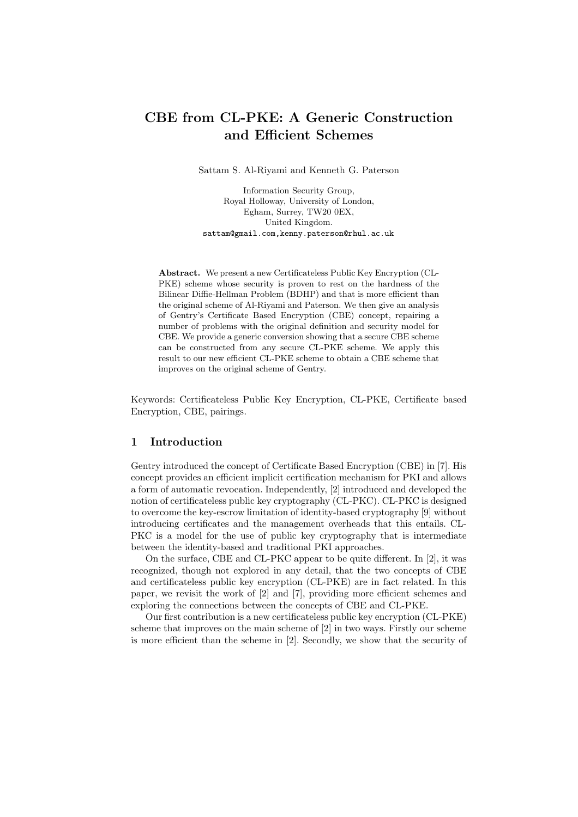# CBE from CL-PKE: A Generic Construction and Efficient Schemes

Sattam S. Al-Riyami and Kenneth G. Paterson

Information Security Group, Royal Holloway, University of London, Egham, Surrey, TW20 0EX, United Kingdom. sattam@gmail.com,kenny.paterson@rhul.ac.uk

Abstract. We present a new Certificateless Public Key Encryption (CL-PKE) scheme whose security is proven to rest on the hardness of the Bilinear Diffie-Hellman Problem (BDHP) and that is more efficient than the original scheme of Al-Riyami and Paterson. We then give an analysis of Gentry's Certificate Based Encryption (CBE) concept, repairing a number of problems with the original definition and security model for CBE. We provide a generic conversion showing that a secure CBE scheme can be constructed from any secure CL-PKE scheme. We apply this result to our new efficient CL-PKE scheme to obtain a CBE scheme that improves on the original scheme of Gentry.

Keywords: Certificateless Public Key Encryption, CL-PKE, Certificate based Encryption, CBE, pairings.

## 1 Introduction

Gentry introduced the concept of Certificate Based Encryption (CBE) in [7]. His concept provides an efficient implicit certification mechanism for PKI and allows a form of automatic revocation. Independently, [2] introduced and developed the notion of certificateless public key cryptography (CL-PKC). CL-PKC is designed to overcome the key-escrow limitation of identity-based cryptography [9] without introducing certificates and the management overheads that this entails. CL-PKC is a model for the use of public key cryptography that is intermediate between the identity-based and traditional PKI approaches.

On the surface, CBE and CL-PKC appear to be quite different. In [2], it was recognized, though not explored in any detail, that the two concepts of CBE and certificateless public key encryption (CL-PKE) are in fact related. In this paper, we revisit the work of [2] and [7], providing more efficient schemes and exploring the connections between the concepts of CBE and CL-PKE.

Our first contribution is a new certificateless public key encryption (CL-PKE) scheme that improves on the main scheme of [2] in two ways. Firstly our scheme is more efficient than the scheme in [2]. Secondly, we show that the security of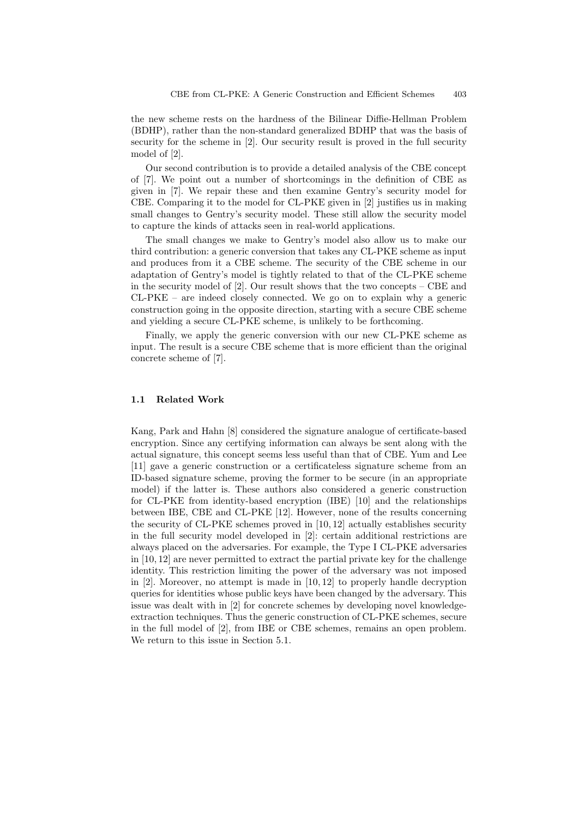the new scheme rests on the hardness of the Bilinear Diffie-Hellman Problem (BDHP), rather than the non-standard generalized BDHP that was the basis of security for the scheme in [2]. Our security result is proved in the full security model of [2].

Our second contribution is to provide a detailed analysis of the CBE concept of [7]. We point out a number of shortcomings in the definition of CBE as given in [7]. We repair these and then examine Gentry's security model for CBE. Comparing it to the model for CL-PKE given in [2] justifies us in making small changes to Gentry's security model. These still allow the security model to capture the kinds of attacks seen in real-world applications.

The small changes we make to Gentry's model also allow us to make our third contribution: a generic conversion that takes any CL-PKE scheme as input and produces from it a CBE scheme. The security of the CBE scheme in our adaptation of Gentry's model is tightly related to that of the CL-PKE scheme in the security model of [2]. Our result shows that the two concepts – CBE and CL-PKE – are indeed closely connected. We go on to explain why a generic construction going in the opposite direction, starting with a secure CBE scheme and yielding a secure CL-PKE scheme, is unlikely to be forthcoming.

Finally, we apply the generic conversion with our new CL-PKE scheme as input. The result is a secure CBE scheme that is more efficient than the original concrete scheme of [7].

#### 1.1 Related Work

Kang, Park and Hahn [8] considered the signature analogue of certificate-based encryption. Since any certifying information can always be sent along with the actual signature, this concept seems less useful than that of CBE. Yum and Lee [11] gave a generic construction or a certificateless signature scheme from an ID-based signature scheme, proving the former to be secure (in an appropriate model) if the latter is. These authors also considered a generic construction for CL-PKE from identity-based encryption (IBE) [10] and the relationships between IBE, CBE and CL-PKE [12]. However, none of the results concerning the security of CL-PKE schemes proved in [10, 12] actually establishes security in the full security model developed in [2]: certain additional restrictions are always placed on the adversaries. For example, the Type I CL-PKE adversaries in [10, 12] are never permitted to extract the partial private key for the challenge identity. This restriction limiting the power of the adversary was not imposed in [2]. Moreover, no attempt is made in [10, 12] to properly handle decryption queries for identities whose public keys have been changed by the adversary. This issue was dealt with in [2] for concrete schemes by developing novel knowledgeextraction techniques. Thus the generic construction of CL-PKE schemes, secure in the full model of [2], from IBE or CBE schemes, remains an open problem. We return to this issue in Section 5.1.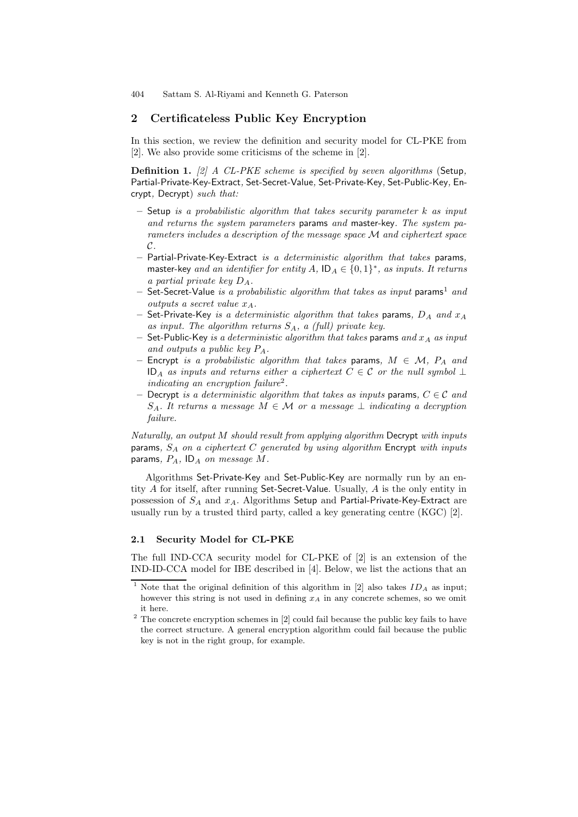## 2 Certificateless Public Key Encryption

In this section, we review the definition and security model for CL-PKE from [2]. We also provide some criticisms of the scheme in [2].

**Definition 1.** [2] A CL-PKE scheme is specified by seven algorithms (Setup, Partial-Private-Key-Extract, Set-Secret-Value, Set-Private-Key, Set-Public-Key, Encrypt, Decrypt) such that:

- $-$  Setup is a probabilistic algorithm that takes security parameter k as input and returns the system parameters params and master-key. The system parameters includes a description of the message space M and ciphertext space  $\mathcal{C}.$
- Partial-Private-Key-Extract is a deterministic algorithm that takes params, master-key and an identifier for entity  $A$ ,  $ID_A \in \{0,1\}^*$ , as inputs. It returns a partial private key  $D_A$ .
- Set-Secret-Value is a probabilistic algorithm that takes as input params<sup>1</sup> and outputs a secret value  $x_A$ .
- Set-Private-Key is a deterministic algorithm that takes params,  $D_A$  and  $x_A$ as input. The algorithm returns  $S_A$ , a (full) private key.
- Set-Public-Key is a deterministic algorithm that takes params and  $x_A$  as input and outputs a public key PA.
- Encrypt is a probabilistic algorithm that takes params,  $M \in \mathcal{M}$ ,  $P_A$  and ID<sub>A</sub> as inputs and returns either a ciphertext  $C \in \mathcal{C}$  or the null symbol ⊥ indicating an encryption failure<sup>2</sup>.
- Decrypt is a deterministic algorithm that takes as inputs params,  $C \in \mathcal{C}$  and  $S_A$ . It returns a message  $M \in \mathcal{M}$  or a message  $\perp$  indicating a decryption failure.

Naturally, an output M should result from applying algorithm Decrypt with inputs params,  $S_A$  on a ciphertext  $C$  generated by using algorithm Encrypt with inputs params,  $P_A$ , ID<sub>A</sub> on message M.

Algorithms Set-Private-Key and Set-Public-Key are normally run by an entity A for itself, after running Set-Secret-Value. Usually, A is the only entity in possession of  $S_A$  and  $x_A$ . Algorithms Setup and Partial-Private-Key-Extract are usually run by a trusted third party, called a key generating centre (KGC) [2].

#### 2.1 Security Model for CL-PKE

The full IND-CCA security model for CL-PKE of [2] is an extension of the IND-ID-CCA model for IBE described in [4]. Below, we list the actions that an

<sup>&</sup>lt;sup>1</sup> Note that the original definition of this algorithm in [2] also takes  $ID_A$  as input; however this string is not used in defining  $x_A$  in any concrete schemes, so we omit it here.

 $^{\rm 2}$  The concrete encryption schemes in [2] could fail because the public key fails to have the correct structure. A general encryption algorithm could fail because the public key is not in the right group, for example.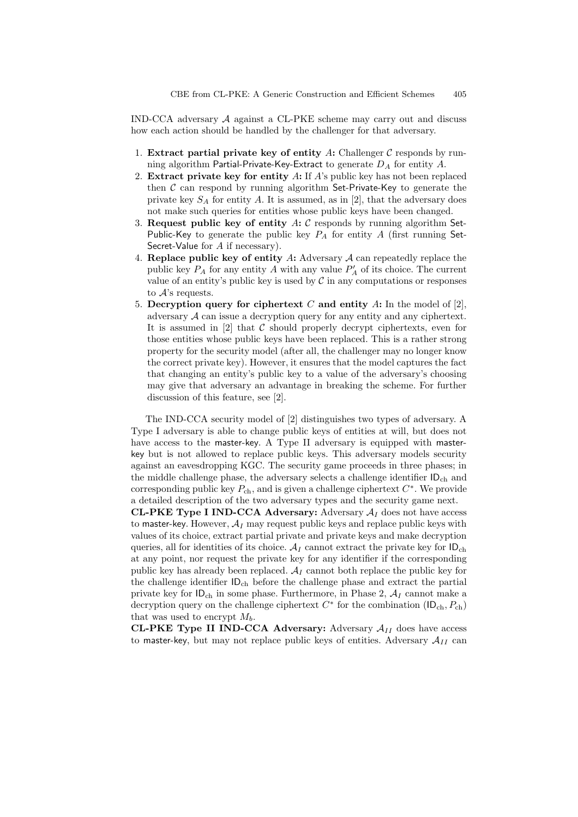IND-CCA adversary A against a CL-PKE scheme may carry out and discuss how each action should be handled by the challenger for that adversary.

- 1. Extract partial private key of entity  $A$ : Challenger  $C$  responds by running algorithm Partial-Private-Key-Extract to generate  $D_A$  for entity A.
- 2. Extract private key for entity  $\hat{A}$ : If  $\hat{A}$ 's public key has not been replaced then  $C$  can respond by running algorithm Set-Private-Key to generate the private key  $S_A$  for entity A. It is assumed, as in [2], that the adversary does not make such queries for entities whose public keys have been changed.
- 3. Request public key of entity  $A: \mathcal{C}$  responds by running algorithm Set-Public-Key to generate the public key  $P_A$  for entity A (first running Set-Secret-Value for A if necessary).
- 4. Replace public key of entity  $A:$  Adversary  $A$  can repeatedly replace the public key  $P_A$  for any entity  $A$  with any value  $P'_A$  of its choice. The current value of an entity's public key is used by  $\mathcal C$  in any computations or responses to  $A$ 's requests.
- 5. Decryption query for ciphertext C and entity A: In the model of [2], adversary A can issue a decryption query for any entity and any ciphertext. It is assumed in  $[2]$  that C should properly decrypt ciphertexts, even for those entities whose public keys have been replaced. This is a rather strong property for the security model (after all, the challenger may no longer know the correct private key). However, it ensures that the model captures the fact that changing an entity's public key to a value of the adversary's choosing may give that adversary an advantage in breaking the scheme. For further discussion of this feature, see [2].

The IND-CCA security model of [2] distinguishes two types of adversary. A Type I adversary is able to change public keys of entities at will, but does not have access to the master-key. A Type II adversary is equipped with masterkey but is not allowed to replace public keys. This adversary models security against an eavesdropping KGC. The security game proceeds in three phases; in the middle challenge phase, the adversary selects a challenge identifier  $ID<sub>ch</sub>$  and corresponding public key  $P_{ch}$ , and is given a challenge ciphertext  $C^*$ . We provide a detailed description of the two adversary types and the security game next.

CL-PKE Type I IND-CCA Adversary: Adversary  $A_I$  does not have access to master-key. However,  $A_I$  may request public keys and replace public keys with values of its choice, extract partial private and private keys and make decryption queries, all for identities of its choice.  $\mathcal{A}_I$  cannot extract the private key for  $ID_{ch}$ at any point, nor request the private key for any identifier if the corresponding public key has already been replaced.  $A_I$  cannot both replace the public key for the challenge identifier  $\mathsf{ID}_{ch}$  before the challenge phase and extract the partial private key for  $ID_{ch}$  in some phase. Furthermore, in Phase 2,  $A_I$  cannot make a decryption query on the challenge ciphertext  $C^*$  for the combination  $(\mathsf{ID}_{ch}, P_{ch})$ that was used to encrypt  $M_b$ .

**CL-PKE Type II IND-CCA Adversary:** Adversary  $A_{II}$  does have access to master-key, but may not replace public keys of entities. Adversary  $A_{II}$  can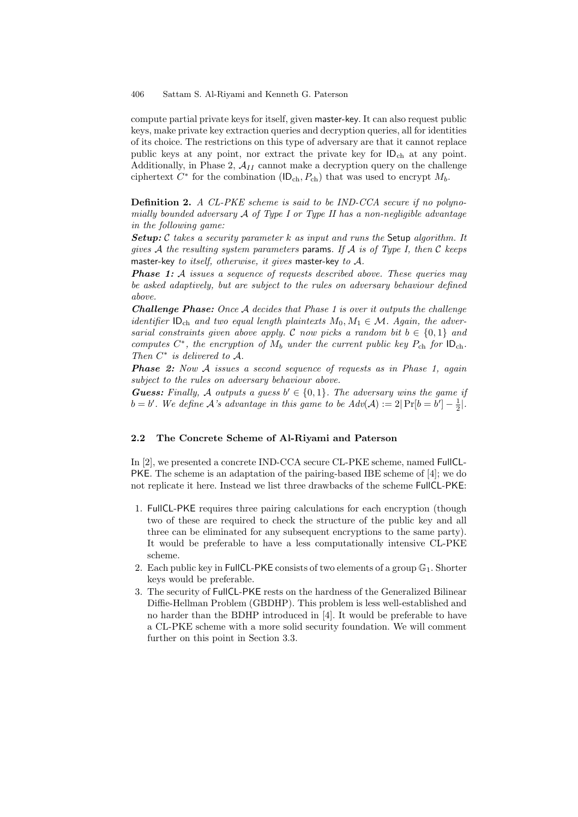compute partial private keys for itself, given master-key. It can also request public keys, make private key extraction queries and decryption queries, all for identities of its choice. The restrictions on this type of adversary are that it cannot replace public keys at any point, nor extract the private key for IDch at any point. Additionally, in Phase 2,  $A_{II}$  cannot make a decryption query on the challenge ciphertext  $C^*$  for the combination (ID<sub>ch</sub>,  $P_{ch}$ ) that was used to encrypt  $M_b$ .

Definition 2. A CL-PKE scheme is said to be IND-CCA secure if no polynomially bounded adversary  $\mathcal A$  of Type I or Type II has a non-negligible advantage in the following game:

Setup:  $\mathcal C$  takes a security parameter  $k$  as input and runs the Setup algorithm. It gives A the resulting system parameters params. If A is of Type I, then C keeps master-key to itself, otherwise, it gives master-key to A.

**Phase 1:** A issues a sequence of requests described above. These queries may be asked adaptively, but are subject to the rules on adversary behaviour defined above.

Challenge Phase: Once A decides that Phase 1 is over it outputs the challenge identifier  $ID_{ch}$  and two equal length plaintexts  $M_0, M_1 \in \mathcal{M}$ . Again, the adversarial constraints given above apply. C now picks a random bit  $b \in \{0,1\}$  and computes  $C^*$ , the encryption of  $M_b$  under the current public key  $P_{ch}$  for  $ID_{ch}$ . Then  $C^*$  is delivered to  $A$ .

**Phase 2:** Now A issues a second sequence of requests as in Phase 1, again subject to the rules on adversary behaviour above.

**Guess:** Finally, A outputs a guess  $b' \in \{0, 1\}$ . The adversary wins the game if  $b = b'$ . We define A's advantage in this game to be  $Adv(A) := 2|Pr[b = b'] - \frac{1}{2}|$ .

#### 2.2 The Concrete Scheme of Al-Riyami and Paterson

In [2], we presented a concrete IND-CCA secure CL-PKE scheme, named FullCL-PKE. The scheme is an adaptation of the pairing-based IBE scheme of [4]; we do not replicate it here. Instead we list three drawbacks of the scheme FullCL-PKE:

- 1. FullCL-PKE requires three pairing calculations for each encryption (though two of these are required to check the structure of the public key and all three can be eliminated for any subsequent encryptions to the same party). It would be preferable to have a less computationally intensive CL-PKE scheme.
- 2. Each public key in FullCL-PKE consists of two elements of a group  $\mathbb{G}_1$ . Shorter keys would be preferable.
- 3. The security of FullCL-PKE rests on the hardness of the Generalized Bilinear Diffie-Hellman Problem (GBDHP). This problem is less well-established and no harder than the BDHP introduced in [4]. It would be preferable to have a CL-PKE scheme with a more solid security foundation. We will comment further on this point in Section 3.3.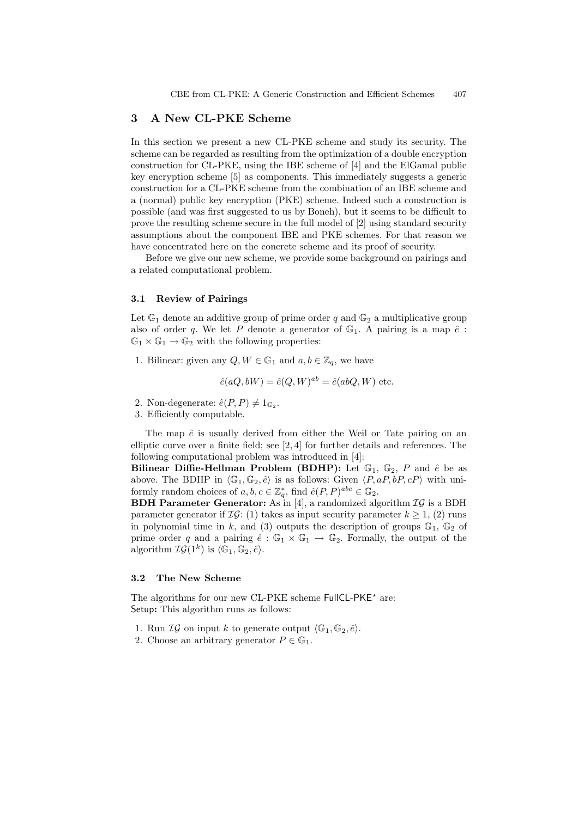## 3 A New CL-PKE Scheme

In this section we present a new CL-PKE scheme and study its security. The scheme can be regarded as resulting from the optimization of a double encryption construction for CL-PKE, using the IBE scheme of [4] and the ElGamal public key encryption scheme [5] as components. This immediately suggests a generic construction for a CL-PKE scheme from the combination of an IBE scheme and a (normal) public key encryption (PKE) scheme. Indeed such a construction is possible (and was first suggested to us by Boneh), but it seems to be difficult to prove the resulting scheme secure in the full model of [2] using standard security assumptions about the component IBE and PKE schemes. For that reason we have concentrated here on the concrete scheme and its proof of security.

Before we give our new scheme, we provide some background on pairings and a related computational problem.

#### 3.1 Review of Pairings

Let  $\mathbb{G}_1$  denote an additive group of prime order q and  $\mathbb{G}_2$  a multiplicative group also of order q. We let P denote a generator of  $\mathbb{G}_1$ . A pairing is a map  $\hat{e}$ :  $\mathbb{G}_1 \times \mathbb{G}_1 \to \mathbb{G}_2$  with the following properties:

1. Bilinear: given any  $Q, W \in \mathbb{G}_1$  and  $a, b \in \mathbb{Z}_q$ , we have

$$
\hat{e}(aQ, bW) = \hat{e}(Q, W)^{ab} = \hat{e}(abQ, W) \text{ etc.}
$$

- 2. Non-degenerate:  $\hat{e}(P, P) \neq 1_{\mathbb{G}_2}$ .
- 3. Efficiently computable.

The map  $\hat{e}$  is usually derived from either the Weil or Tate pairing on an elliptic curve over a finite field; see [2, 4] for further details and references. The following computational problem was introduced in [4]:

Bilinear Diffie-Hellman Problem (BDHP): Let  $\mathbb{G}_1$ ,  $\mathbb{G}_2$ , P and  $\hat{e}$  be as above. The BDHP in  $\langle G_1, G_2, \hat{e} \rangle$  is as follows: Given  $\langle P, aP, bP, cP \rangle$  with uniformly random choices of  $a, b, c \in \mathbb{Z}_q^*$ , find  $\hat{e}(P, P)^{abc} \in \mathbb{G}_2$ .

**BDH Parameter Generator:** As in [4], a randomized algorithm  $IG$  is a BDH parameter generator if  $\mathcal{IG}: (1)$  takes as input security parameter  $k \geq 1$ , (2) runs in polynomial time in k, and (3) outputs the description of groups  $\mathbb{G}_1$ ,  $\mathbb{G}_2$  of prime order q and a pairing  $\hat{e} : \mathbb{G}_1 \times \mathbb{G}_1 \to \mathbb{G}_2$ . Formally, the output of the algorithm  $\mathcal{IG}(1^k)$  is  $\langle \mathbb{G}_1, \mathbb{G}_2, \hat{e} \rangle$ .

#### 3.2 The New Scheme

The algorithms for our new CL-PKE scheme FullCL-PKE<sup>\*</sup> are: Setup: This algorithm runs as follows:

- 1. Run  $\mathcal{IG}$  on input k to generate output  $\langle \mathbb{G}_1, \mathbb{G}_2, \hat{e} \rangle$ .
- 2. Choose an arbitrary generator  $P \in \mathbb{G}_1$ .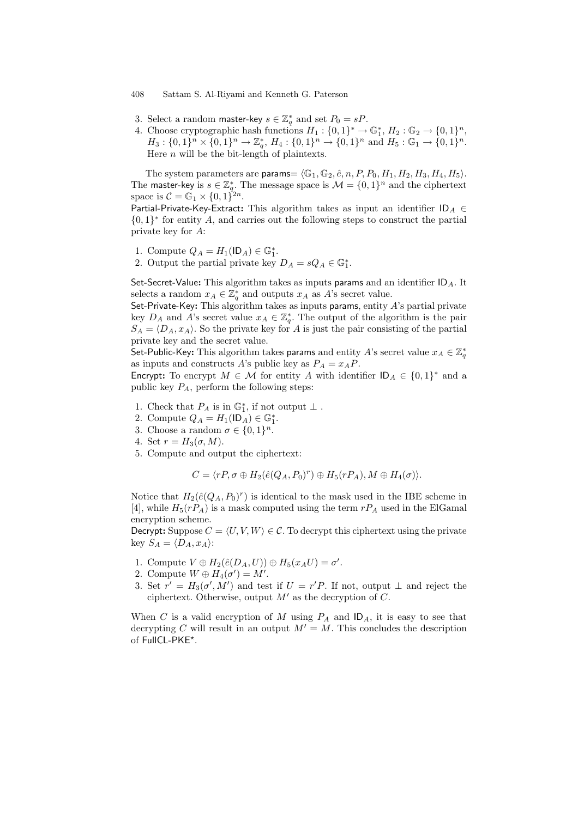- 3. Select a random master-key  $s \in \mathbb{Z}_q^*$  and set  $P_0 = sP$ .
- 4. Choose cryptographic hash functions  $H_1: \{0,1\}^* \to \mathbb{G}_1^*, H_2: \mathbb{G}_2 \to \{0,1\}^n$ ,  $H_3: \{0,1\}^n \times \{0,1\}^n \to \mathbb{Z}_q^*, H_4: \{0,1\}^n \to \{0,1\}^n \text{ and } H_5: \mathbb{G}_1 \to \{0,1\}^n.$ Here  $n$  will be the bit-length of plaintexts.

The system parameters are params=  $\langle \mathbb{G}_1, \mathbb{G}_2, \hat{e}, n, P, P_0, H_1, H_2, H_3, H_4, H_5 \rangle$ . The master-key is  $s \in \mathbb{Z}_q^*$ . The message space is  $\mathcal{M} = \{0, 1\}^n$  and the ciphertext space is  $C = \mathbb{G}_1 \times \{0,1\}^{2n}$ .

Partial-Private-Key-Extract: This algorithm takes as input an identifier  $ID_A \in$  $\{0,1\}^*$  for entity A, and carries out the following steps to construct the partial private key for A:

- 1. Compute  $Q_A = H_1(\mathsf{ID}_A) \in \mathbb{G}_1^*$ .
- 2. Output the partial private key  $D_A = sQ_A \in \mathbb{G}_1^*$ .

Set-Secret-Value: This algorithm takes as inputs params and an identifier  $ID_A$ . It selects a random  $x_A \in \mathbb{Z}_q^*$  and outputs  $x_A$  as A's secret value.

Set-Private-Key: This algorithm takes as inputs params, entity  $A$ 's partial private key  $D_A$  and A's secret value  $x_A \in \mathbb{Z}_q^*$ . The output of the algorithm is the pair  $S_A = \langle D_A, x_A \rangle$ . So the private key for A is just the pair consisting of the partial private key and the secret value.

Set-Public-Key: This algorithm takes params and entity  $A$ 's secret value  $x_A \in \mathbb{Z}_q^*$ as inputs and constructs A's public key as  $P_A = x_A P$ .

Encrypt: To encrypt  $M \in \mathcal{M}$  for entity A with identifier  $ID_A \in \{0,1\}^*$  and a public key  $P_A$ , perform the following steps:

- 1. Check that  $P_A$  is in  $\mathbb{G}_1^*$ , if not output  $\perp$ .
- 2. Compute  $Q_A = H_1(\mathsf{ID}_A) \in \mathbb{G}_1^*$ .
- 3. Choose a random  $\sigma \in \{0,1\}^n$ .
- 4. Set  $r = H_3(\sigma, M)$ .
- 5. Compute and output the ciphertext:

$$
C = \langle rP, \sigma \oplus H_2(\hat{e}(Q_A, P_0)^r) \oplus H_5(rP_A), M \oplus H_4(\sigma) \rangle.
$$

Notice that  $H_2(\hat{e}(Q_A, P_0)^r)$  is identical to the mask used in the IBE scheme in [4], while  $H_5(rP_A)$  is a mask computed using the term  $rP_A$  used in the ElGamal encryption scheme.

Decrypt: Suppose  $C = \langle U, V, W \rangle \in \mathcal{C}$ . To decrypt this ciphertext using the private key  $S_A = \langle D_A, x_A \rangle$ :

- 1. Compute  $V \oplus H_2(\hat{e}(D_A, U)) \oplus H_5(x_A U) = \sigma'.$
- 2. Compute  $W \oplus H_4(\sigma') = M'$ .
- 3. Set  $r' = H_3(\sigma', M')$  and test if  $U = r'P$ . If not, output  $\perp$  and reject the ciphertext. Otherwise, output  $M'$  as the decryption of C.

When C is a valid encryption of M using  $P_A$  and  $ID_A$ , it is easy to see that decrypting C will result in an output  $M' = M$ . This concludes the description of FullCL-PKE\*.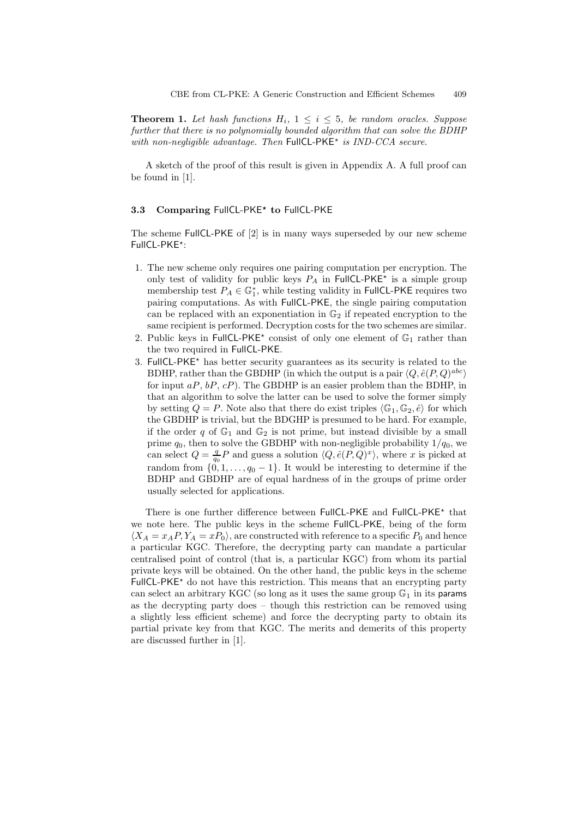**Theorem 1.** Let hash functions  $H_i$ ,  $1 \leq i \leq 5$ , be random oracles. Suppose further that there is no polynomially bounded algorithm that can solve the BDHP with non-negligible advantage. Then  $FullCL-PKE^*$  is  $IND-CCA$  secure.

A sketch of the proof of this result is given in Appendix A. A full proof can be found in [1].

## 3.3 Comparing FullCL-PKE\* to FullCL-PKE

The scheme FullCL-PKE of [2] is in many ways superseded by our new scheme FullCL-PKE\*:

- 1. The new scheme only requires one pairing computation per encryption. The only test of validity for public keys  $P_A$  in FullCL-PKE<sup>\*</sup> is a simple group membership test  $P_A \in \mathbb{G}_1^*$ , while testing validity in FullCL-PKE requires two pairing computations. As with FullCL-PKE, the single pairing computation can be replaced with an exponentiation in  $\mathbb{G}_2$  if repeated encryption to the same recipient is performed. Decryption costs for the two schemes are similar.
- 2. Public keys in FullCL-PKE<sup>\*</sup> consist of only one element of  $\mathbb{G}_1$  rather than the two required in FullCL-PKE.
- 3. FullCL-PKE<sup>\*</sup> has better security guarantees as its security is related to the BDHP, rather than the GBDHP (in which the output is a pair  $\langle Q, \hat{e}(P, Q)^{abc} \rangle$ for input  $aP$ ,  $bP$ ,  $cP$ ). The GBDHP is an easier problem than the BDHP, in that an algorithm to solve the latter can be used to solve the former simply by setting  $Q = P$ . Note also that there do exist triples  $\langle \mathbb{G}_1, \mathbb{G}_2, \hat{e} \rangle$  for which the GBDHP is trivial, but the BDGHP is presumed to be hard. For example, if the order q of  $\mathbb{G}_1$  and  $\mathbb{G}_2$  is not prime, but instead divisible by a small prime  $q_0$ , then to solve the GBDHP with non-negligible probability  $1/q_0$ , we can select  $Q = \frac{q}{q_0}P$  and guess a solution  $\langle Q, \hat{e}(P, Q)^x \rangle$ , where x is picked at random from  $\{0, 1, \ldots, q_0 - 1\}$ . It would be interesting to determine if the BDHP and GBDHP are of equal hardness of in the groups of prime order usually selected for applications.

There is one further difference between FullCL-PKE and FullCL-PKE<sup>\*</sup> that we note here. The public keys in the scheme FullCL-PKE, being of the form  $\langle X_A = x_A P, Y_A = x P_0 \rangle$ , are constructed with reference to a specific  $P_0$  and hence a particular KGC. Therefore, the decrypting party can mandate a particular centralised point of control (that is, a particular KGC) from whom its partial private keys will be obtained. On the other hand, the public keys in the scheme  $FullCL-PKE<sup>*</sup>$  do not have this restriction. This means that an encrypting party can select an arbitrary KGC (so long as it uses the same group  $\mathbb{G}_1$  in its params as the decrypting party does – though this restriction can be removed using a slightly less efficient scheme) and force the decrypting party to obtain its partial private key from that KGC. The merits and demerits of this property are discussed further in [1].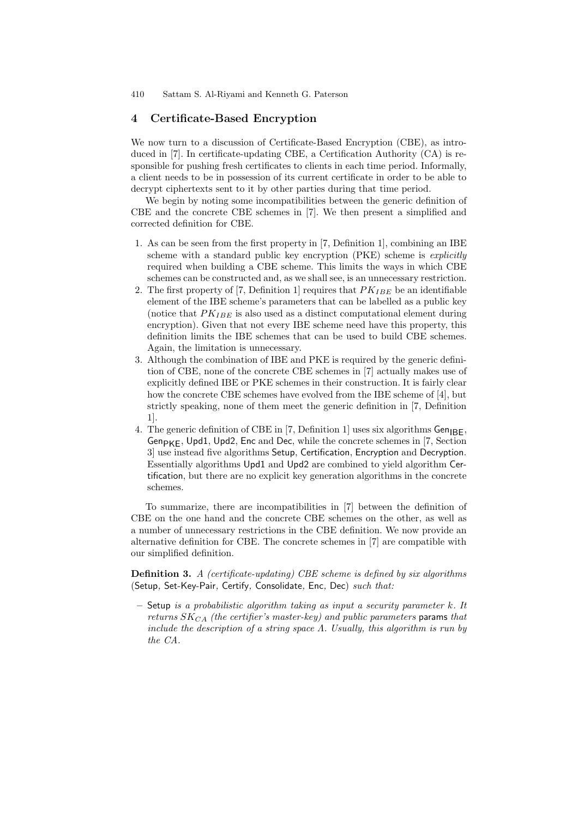## 4 Certificate-Based Encryption

We now turn to a discussion of Certificate-Based Encryption (CBE), as introduced in [7]. In certificate-updating CBE, a Certification Authority (CA) is responsible for pushing fresh certificates to clients in each time period. Informally, a client needs to be in possession of its current certificate in order to be able to decrypt ciphertexts sent to it by other parties during that time period.

We begin by noting some incompatibilities between the generic definition of CBE and the concrete CBE schemes in [7]. We then present a simplified and corrected definition for CBE.

- 1. As can be seen from the first property in [7, Definition 1], combining an IBE scheme with a standard public key encryption (PKE) scheme is *explicitly* required when building a CBE scheme. This limits the ways in which CBE schemes can be constructed and, as we shall see, is an unnecessary restriction.
- 2. The first property of [7, Definition 1] requires that  $PK_{IBE}$  be an identifiable element of the IBE scheme's parameters that can be labelled as a public key (notice that  $PK_{IBE}$  is also used as a distinct computational element during encryption). Given that not every IBE scheme need have this property, this definition limits the IBE schemes that can be used to build CBE schemes. Again, the limitation is unnecessary.
- 3. Although the combination of IBE and PKE is required by the generic definition of CBE, none of the concrete CBE schemes in [7] actually makes use of explicitly defined IBE or PKE schemes in their construction. It is fairly clear how the concrete CBE schemes have evolved from the IBE scheme of [4], but strictly speaking, none of them meet the generic definition in [7, Definition 1].
- 4. The generic definition of CBE in [7, Definition 1] uses six algorithms  $Gen_{IBF}$ ,  $Gen_{\mathsf{PKF}}$ , Upd1, Upd2, Enc and Dec, while the concrete schemes in [7, Section 3] use instead five algorithms Setup, Certification, Encryption and Decryption. Essentially algorithms Upd1 and Upd2 are combined to yield algorithm Certification, but there are no explicit key generation algorithms in the concrete schemes.

To summarize, there are incompatibilities in [7] between the definition of CBE on the one hand and the concrete CBE schemes on the other, as well as a number of unnecessary restrictions in the CBE definition. We now provide an alternative definition for CBE. The concrete schemes in [7] are compatible with our simplified definition.

**Definition 3.** A (certificate-updating) CBE scheme is defined by six algorithms (Setup, Set-Key-Pair, Certify, Consolidate, Enc, Dec) such that:

 $-$  Setup is a probabilistic algorithm taking as input a security parameter  $k$ . It returns  $SK_{CA}$  (the certifier's master-key) and public parameters params that include the description of a string space  $\Lambda$ . Usually, this algorithm is run by the CA.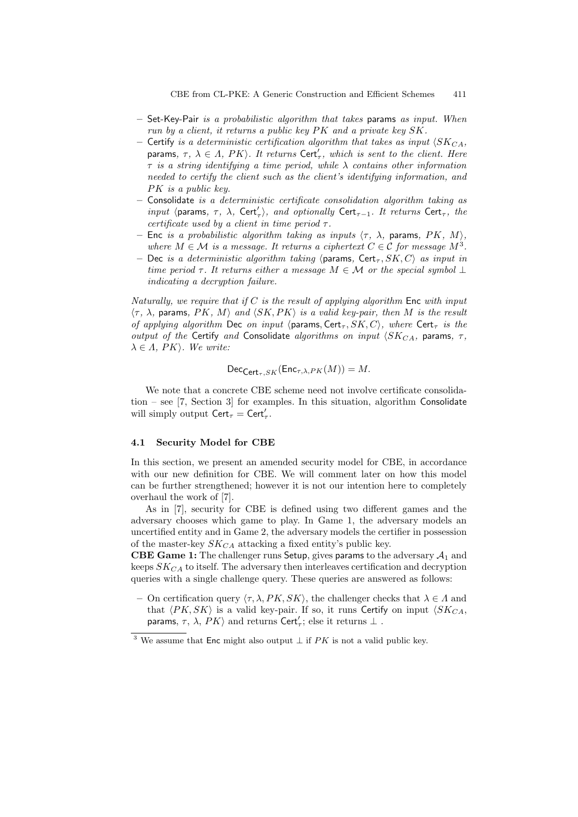- $-$  Set-Key-Pair is a probabilistic algorithm that takes params as input. When run by a client, it returns a public key  $PK$  and a private key  $SK$ .
- Certify is a deterministic certification algorithm that takes as input  $\langle SK_{CA},$ params,  $\tau$ ,  $\lambda \in \Lambda$ , PK $\rangle$ . It returns Cert'<sub> $\tau$ </sub>, which is sent to the client. Here  $\tau$  is a string identifying a time period, while  $\lambda$  contains other information needed to certify the client such as the client's identifying information, and  $PK$  is a public key.
- Consolidate is a deterministic certificate consolidation algorithm taking as input  $\langle$  params,  $\tau$ ,  $\lambda$ , Cert'<sub> $\tau$ </sub>), and optionally Cert<sub> $\tau$ -1</sub>. It returns Cert<sub> $\tau$ </sub>, the certificate used by a client in time period  $\tau$ .
- Enc is a probabilistic algorithm taking as inputs  $\langle \tau, \lambda \rangle$ , params, PK, M), where  $M \in \mathcal{M}$  is a message. It returns a ciphertext  $C \in \mathcal{C}$  for message  $M^3$ .
- Dec is a deterministic algorithm taking (params, Cert<sub>T</sub>,  $SK, C$ ) as input in time period  $\tau$ . It returns either a message  $M \in \mathcal{M}$  or the special symbol  $\bot$ indicating a decryption failure.

Naturally, we require that if  $C$  is the result of applying algorithm Enc with input  $\langle \tau, \lambda \rangle$ , params, PK, M) and  $\langle SK, PK \rangle$  is a valid key-pair, then M is the result of applying algorithm Dec on input  $\langle$  params, Cert<sub> $\tau$ </sub>, SK, C), where Cert<sub> $\tau$ </sub> is the output of the Certify and Consolidate algorithms on input  $\langle SK_{CA}$ , params,  $\tau$ ,  $\lambda \in \Lambda$ , PK $\rangle$ . We write:

$$
\mathsf{Dec}_{\mathsf{Cert}_{\tau},SK}(\mathsf{Enc}_{\tau,\lambda,PK}(M)) = M.
$$

We note that a concrete CBE scheme need not involve certificate consolidation – see [7, Section 3] for examples. In this situation, algorithm Consolidate will simply output  $\text{Cert}_{\tau} = \text{Cert}_{\tau}$ .

#### 4.1 Security Model for CBE

In this section, we present an amended security model for CBE, in accordance with our new definition for CBE. We will comment later on how this model can be further strengthened; however it is not our intention here to completely overhaul the work of [7].

As in [7], security for CBE is defined using two different games and the adversary chooses which game to play. In Game 1, the adversary models an uncertified entity and in Game 2, the adversary models the certifier in possession of the master-key  $SK_{CA}$  attacking a fixed entity's public key.

CBE Game 1: The challenger runs Setup, gives params to the adversary  $A_1$  and keeps  $SK_{CA}$  to itself. The adversary then interleaves certification and decryption queries with a single challenge query. These queries are answered as follows:

On certification query  $\langle \tau, \lambda, PK, SK \rangle$ , the challenger checks that  $\lambda \in \Lambda$  and that  $\langle PK, SK \rangle$  is a valid key-pair. If so, it runs Certify on input  $\langle SK_{CA},$ params,  $\tau$ ,  $\lambda$ ,  $PK$  and returns Cert<sub>r</sub>; else it returns  $\bot$ .

<sup>&</sup>lt;sup>3</sup> We assume that Enc might also output  $\perp$  if PK is not a valid public key.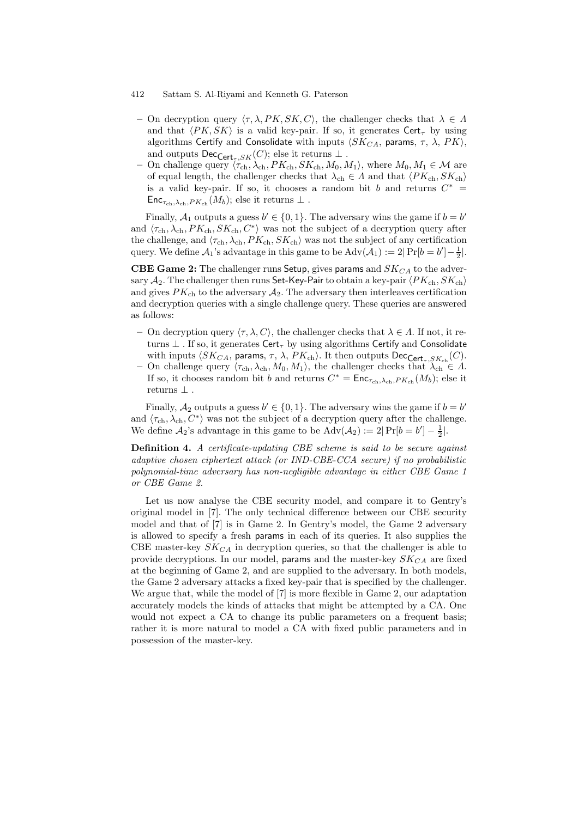- 412 Sattam S. Al-Riyami and Kenneth G. Paterson
	- On decryption query  $\langle \tau, \lambda, PK, SK, C \rangle$ , the challenger checks that  $\lambda \in \Lambda$ and that  $\langle PK, SK \rangle$  is a valid key-pair. If so, it generates Cert<sub>r</sub> by using algorithms Certify and Consolidate with inputs  $\langle SK_{CA}$ , params,  $\tau$ ,  $\lambda$ ,  $PK$ , and outputs  $\mathsf{Dec}_{\mathsf{Cert}_{\infty}SK}(C)$ ; else it returns  $\perp$ .
	- On challenge query  $\langle \tau_{ch}, \lambda_{ch}, PK_{ch}, SK_{ch}, M_0, M_1 \rangle$ , where  $M_0, M_1 \in \mathcal{M}$  are of equal length, the challenger checks that  $\lambda_{ch} \in \Lambda$  and that  $\langle PK_{ch}, SK_{ch} \rangle$ is a valid key-pair. If so, it chooses a random bit b and returns  $C^*$  =  $\mathsf{Enc}_{\tau_{\text{ch}},\lambda_{\text{ch}},PK_{\text{ch}}}(M_b)$ ; else it returns  $\perp$ .

Finally,  $A_1$  outputs a guess  $b' \in \{0, 1\}$ . The adversary wins the game if  $b = b'$ and  $\langle \tau_{ch}, \lambda_{ch}, PK_{ch}, SK_{ch}, C^* \rangle$  was not the subject of a decryption query after the challenge, and  $\langle \tau_{ch}, \lambda_{ch}, PK_{ch}, SK_{ch} \rangle$  was not the subject of any certification query. We define  $\mathcal{A}_1$ 's advantage in this game to be  $\text{Adv}(\mathcal{A}_1) := 2|\Pr[b = b'] - \frac{1}{2}|.$ 

CBE Game 2: The challenger runs Setup, gives params and  $SK_{CA}$  to the adversary  $A_2$ . The challenger then runs Set-Key-Pair to obtain a key-pair  $\langle PK_{\text{ch}}, SK_{\text{ch}} \rangle$ and gives  $PK_{ch}$  to the adversary  $A_2$ . The adversary then interleaves certification and decryption queries with a single challenge query. These queries are answered as follows:

- On decryption query  $\langle \tau, \lambda, C \rangle$ , the challenger checks that  $\lambda \in \Lambda$ . If not, it returns  $\perp$  . If so, it generates Cert<sub> $\tau$ </sub> by using algorithms Certify and Consolidate with inputs  $\langle SK_{CA},$  params,  $\tau,$   $\lambda,$   $PK_{\rm ch} \rangle.$  It then outputs  $\mathsf{Dec}_{\mathsf{Cert}_{\tau},SK_{\rm ch}}(C).$
- On challenge query  $\langle \tau_{ch}, \lambda_{ch}, M_0, M_1 \rangle$ , the challenger checks that  $\lambda_{ch} \in \Lambda$ . If so, it chooses random bit b and returns  $C^* = \text{Enc}_{\tau_{ch}, \lambda_{ch}, PK_{ch}}(M_b)$ ; else it returns  $\perp$ .

Finally,  $A_2$  outputs a guess  $b' \in \{0, 1\}$ . The adversary wins the game if  $b = b'$ and  $\langle \tau_{ch}, \lambda_{ch}, C^* \rangle$  was not the subject of a decryption query after the challenge. We define  $\mathcal{A}_2$ 's advantage in this game to be  $\text{Adv}(\mathcal{A}_2) := 2|\Pr[b = b'] - \frac{1}{2}|.$ 

Definition 4. A certificate-updating CBE scheme is said to be secure against adaptive chosen ciphertext attack (or IND-CBE-CCA secure) if no probabilistic polynomial-time adversary has non-negligible advantage in either CBE Game 1 or CBE Game 2.

Let us now analyse the CBE security model, and compare it to Gentry's original model in [7]. The only technical difference between our CBE security model and that of [7] is in Game 2. In Gentry's model, the Game 2 adversary is allowed to specify a fresh params in each of its queries. It also supplies the CBE master-key  $SK_{CA}$  in decryption queries, so that the challenger is able to provide decryptions. In our model, params and the master-key  $SK_{CA}$  are fixed at the beginning of Game 2, and are supplied to the adversary. In both models, the Game 2 adversary attacks a fixed key-pair that is specified by the challenger. We argue that, while the model of [7] is more flexible in Game 2, our adaptation accurately models the kinds of attacks that might be attempted by a CA. One would not expect a CA to change its public parameters on a frequent basis; rather it is more natural to model a CA with fixed public parameters and in possession of the master-key.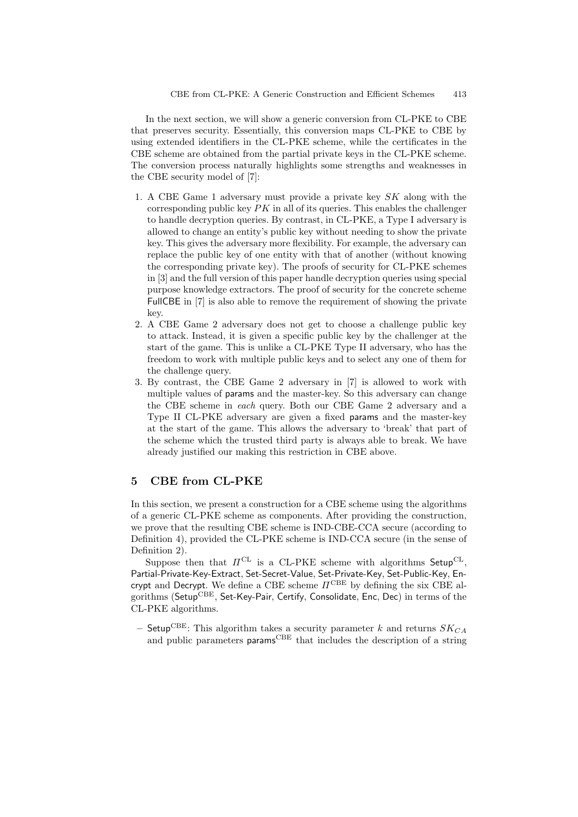In the next section, we will show a generic conversion from CL-PKE to CBE that preserves security. Essentially, this conversion maps CL-PKE to CBE by using extended identifiers in the CL-PKE scheme, while the certificates in the CBE scheme are obtained from the partial private keys in the CL-PKE scheme. The conversion process naturally highlights some strengths and weaknesses in the CBE security model of [7]:

- 1. A CBE Game 1 adversary must provide a private key SK along with the corresponding public key  $PK$  in all of its queries. This enables the challenger to handle decryption queries. By contrast, in CL-PKE, a Type I adversary is allowed to change an entity's public key without needing to show the private key. This gives the adversary more flexibility. For example, the adversary can replace the public key of one entity with that of another (without knowing the corresponding private key). The proofs of security for CL-PKE schemes in [3] and the full version of this paper handle decryption queries using special purpose knowledge extractors. The proof of security for the concrete scheme FullCBE in [7] is also able to remove the requirement of showing the private key.
- 2. A CBE Game 2 adversary does not get to choose a challenge public key to attack. Instead, it is given a specific public key by the challenger at the start of the game. This is unlike a CL-PKE Type II adversary, who has the freedom to work with multiple public keys and to select any one of them for the challenge query.
- 3. By contrast, the CBE Game 2 adversary in [7] is allowed to work with multiple values of params and the master-key. So this adversary can change the CBE scheme in each query. Both our CBE Game 2 adversary and a Type II CL-PKE adversary are given a fixed params and the master-key at the start of the game. This allows the adversary to 'break' that part of the scheme which the trusted third party is always able to break. We have already justified our making this restriction in CBE above.

#### 5 CBE from CL-PKE

In this section, we present a construction for a CBE scheme using the algorithms of a generic CL-PKE scheme as components. After providing the construction, we prove that the resulting CBE scheme is IND-CBE-CCA secure (according to Definition 4), provided the CL-PKE scheme is IND-CCA secure (in the sense of Definition 2).

Suppose then that  $\Pi^{\text{CL}}$  is a CL-PKE scheme with algorithms Setup<sup>CL</sup>, Partial-Private-Key-Extract, Set-Secret-Value, Set-Private-Key, Set-Public-Key, Encrypt and Decrypt. We define a CBE scheme  $\Pi^{\mathrm{CBE}}$  by defining the six CBE algorithms (Setup<sup>CBE</sup>, Set-Key-Pair, Certify, Consolidate, Enc, Dec) in terms of the CL-PKE algorithms.

– Setup<sup>CBE</sup>: This algorithm takes a security parameter k and returns  $SK_{CA}$ and public parameters params<sup>CBE</sup> that includes the description of a string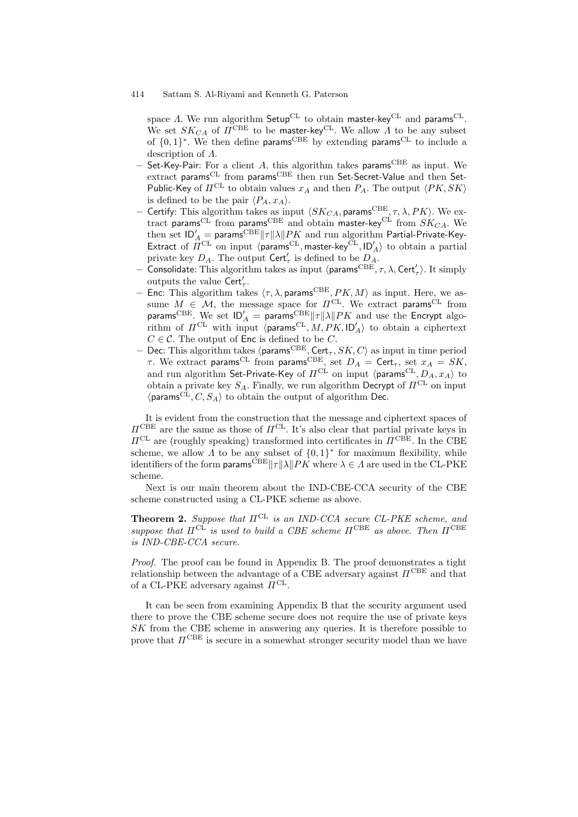space  $\Lambda$ . We run algorithm Setup<sup>CL</sup> to obtain master-key<sup>CL</sup> and params<sup>CL</sup>. We set  $SK_{CA}$  of  $\overline{H}^{\mathrm{CBE}}$  to be master-key<sup>CL</sup>. We allow  $\overline{A}$  to be any subset of  $\{0,1\}^*$ . We then define params<sup>CBE</sup> by extending params<sup>CL</sup> to include a description of Λ.

- Set-Key-Pair: For a client A, this algorithm takes params<sup>CBE</sup> as input. We extract params<sup>CL</sup> from params<sup>CBE</sup> then run Set-Secret-Value and then Set-Public-Key of  $\Pi^{\text{CL}}$  to obtain values  $x_A$  and then  $P_A$ . The output  $\langle PK, SK \rangle$ is defined to be the pair  $\langle P_A, x_A \rangle$ .
- Certify: This algorithm takes as input  $\langle SK_{CA}$ , params<sup>CBE</sup>,  $\tau$ ,  $\lambda$ ,  $PK$ ). We extract params<sup>CL</sup> from params<sup>CBE</sup> and obtain master-key<sup>CL</sup> from  $SK_{CA}$ . We then set  $\mathsf{ID}_A' = \mathsf{params}^\text{CBE} ||\tau|| \lambda ||PK$  and run algorithm Partial-Private-Key-Extract of  $\hat{\Pi}^{\text{CL}}$  on input  $\langle \hat{\text{param}}^{\text{CL}}, \text{master-key}^{\text{CL}}, \text{ID}'_A \rangle$  to obtain a partial private key  $D_A$ . The output Cert'<sub> $\tau$ </sub> is defined to be  $D_A$ .<br>  $\vdots$  Consolidate: This algorithm takes as input (params<sup>CBE</sup>,  $\tau$ ,  $\lambda$ , Cert'<sub> $\tau$ </sub>). It simply
- outputs the value  $\text{Cert}'_{\tau}$ .
- Enc: This algorithm takes  $\langle \tau, \lambda, \text{params}^{\text{CBE}}, PK, M \rangle$  as input. Here, we assume  $M \in \mathcal{M}$ , the message space for  $\Pi^{\text{CL}}$ . We extract params<sup>CL</sup> from params<sup>CBE</sup>. We set  $\mathsf{ID}_A' = \textsf{params}^{\text{CBE}} ||\tau|| \lambda ||PK$  and use the Encrypt algorithm of  $\Pi^{\text{CL}}$  with input  $\langle \text{params}^{\text{CL}}, M, P K, \text{ID}_A' \rangle$  to obtain a ciphertext  $C \in \mathcal{C}$ . The output of Enc is defined to be C.
- Dec: This algorithm takes (params<sup>CBE</sup>, Cert<sub> $\tau$ </sub>,  $SK, C$ ) as input in time period  $\tau$ . We extract params<sup>CL</sup> from params<sup>CBE</sup>, set  $D_A = \text{Cert}_{\tau}$ , set  $x_A = SK$ , and run algorithm Set-Private-Key of  $\Pi^{\mathrm{CL}}$  on input  $\langle$ params $^{\mathrm{CL}}, D_A, x_A\rangle$  to obtain a private key  $S_A$ . Finally, we run algorithm Decrypt of  $\Pi^{\rm CL}$  on input  $\langle \text{params}^{\text{CL}}, C, S_A \rangle$  to obtain the output of algorithm Dec.

It is evident from the construction that the message and ciphertext spaces of  $\Pi^{\text{CBE}}$  are the same as those of  $\Pi^{\text{CL}}$ . It's also clear that partial private keys in  $\Pi^{\text{CL}}$  are (roughly speaking) transformed into certificates in  $\Pi^{\text{CBE}}$ . In the CBE scheme, we allow  $\overline{A}$  to be any subset of  $\{0,1\}^*$  for maximum flexibility, while identifiers of the form params<sup>CBE</sup> $||\tau||\lambda||PK$  where  $\lambda \in \Lambda$  are used in the CL-PKE scheme.

Next is our main theorem about the IND-CBE-CCA security of the CBE scheme constructed using a CL-PKE scheme as above.

**Theorem 2.** Suppose that  $\Pi^{CL}$  is an IND-CCA secure CL-PKE scheme, and suppose that  $\Pi^{\text{CL}}$  is used to build a CBE scheme  $\Pi^{\text{CBE}}$  as above. Then  $\Pi^{\text{CBE}}$ is IND-CBE-CCA secure.

Proof. The proof can be found in Appendix B. The proof demonstrates a tight relationship between the advantage of a CBE adversary against  $\Pi^{\mathrm{CBE}}$  and that of a CL-PKE adversary against  $\Pi^{\text{CL}}$ .

It can be seen from examining Appendix B that the security argument used there to prove the CBE scheme secure does not require the use of private keys SK from the CBE scheme in answering any queries. It is therefore possible to prove that  $\Pi^{\text{CBE}}$  is secure in a somewhat stronger security model than we have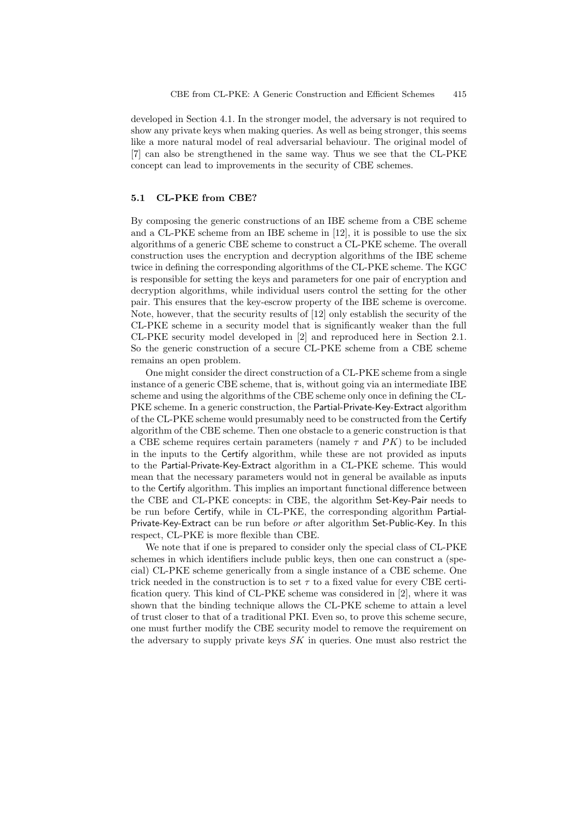developed in Section 4.1. In the stronger model, the adversary is not required to show any private keys when making queries. As well as being stronger, this seems like a more natural model of real adversarial behaviour. The original model of [7] can also be strengthened in the same way. Thus we see that the CL-PKE concept can lead to improvements in the security of CBE schemes.

#### 5.1 CL-PKE from CBE?

By composing the generic constructions of an IBE scheme from a CBE scheme and a CL-PKE scheme from an IBE scheme in [12], it is possible to use the six algorithms of a generic CBE scheme to construct a CL-PKE scheme. The overall construction uses the encryption and decryption algorithms of the IBE scheme twice in defining the corresponding algorithms of the CL-PKE scheme. The KGC is responsible for setting the keys and parameters for one pair of encryption and decryption algorithms, while individual users control the setting for the other pair. This ensures that the key-escrow property of the IBE scheme is overcome. Note, however, that the security results of [12] only establish the security of the CL-PKE scheme in a security model that is significantly weaker than the full CL-PKE security model developed in [2] and reproduced here in Section 2.1. So the generic construction of a secure CL-PKE scheme from a CBE scheme remains an open problem.

One might consider the direct construction of a CL-PKE scheme from a single instance of a generic CBE scheme, that is, without going via an intermediate IBE scheme and using the algorithms of the CBE scheme only once in defining the CL-PKE scheme. In a generic construction, the Partial-Private-Key-Extract algorithm of the CL-PKE scheme would presumably need to be constructed from the Certify algorithm of the CBE scheme. Then one obstacle to a generic construction is that a CBE scheme requires certain parameters (namely  $\tau$  and PK) to be included in the inputs to the Certify algorithm, while these are not provided as inputs to the Partial-Private-Key-Extract algorithm in a CL-PKE scheme. This would mean that the necessary parameters would not in general be available as inputs to the Certify algorithm. This implies an important functional difference between the CBE and CL-PKE concepts: in CBE, the algorithm Set-Key-Pair needs to be run before Certify, while in CL-PKE, the corresponding algorithm Partial-Private-Key-Extract can be run before or after algorithm Set-Public-Key. In this respect, CL-PKE is more flexible than CBE.

We note that if one is prepared to consider only the special class of CL-PKE schemes in which identifiers include public keys, then one can construct a (special) CL-PKE scheme generically from a single instance of a CBE scheme. One trick needed in the construction is to set  $\tau$  to a fixed value for every CBE certification query. This kind of CL-PKE scheme was considered in [2], where it was shown that the binding technique allows the CL-PKE scheme to attain a level of trust closer to that of a traditional PKI. Even so, to prove this scheme secure, one must further modify the CBE security model to remove the requirement on the adversary to supply private keys SK in queries. One must also restrict the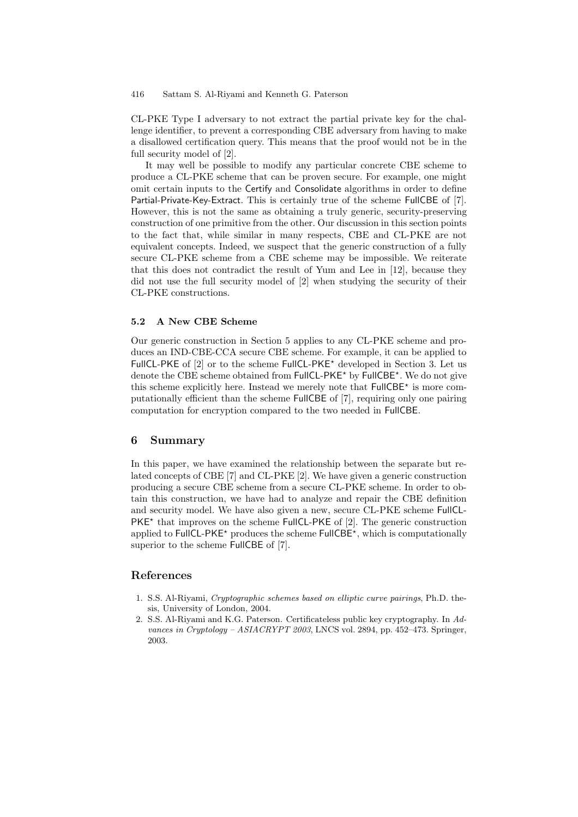CL-PKE Type I adversary to not extract the partial private key for the challenge identifier, to prevent a corresponding CBE adversary from having to make a disallowed certification query. This means that the proof would not be in the full security model of [2].

It may well be possible to modify any particular concrete CBE scheme to produce a CL-PKE scheme that can be proven secure. For example, one might omit certain inputs to the Certify and Consolidate algorithms in order to define Partial-Private-Key-Extract. This is certainly true of the scheme FullCBE of [7]. However, this is not the same as obtaining a truly generic, security-preserving construction of one primitive from the other. Our discussion in this section points to the fact that, while similar in many respects, CBE and CL-PKE are not equivalent concepts. Indeed, we suspect that the generic construction of a fully secure CL-PKE scheme from a CBE scheme may be impossible. We reiterate that this does not contradict the result of Yum and Lee in [12], because they did not use the full security model of [2] when studying the security of their CL-PKE constructions.

#### 5.2 A New CBE Scheme

Our generic construction in Section 5 applies to any CL-PKE scheme and produces an IND-CBE-CCA secure CBE scheme. For example, it can be applied to FullCL-PKE of  $[2]$  or to the scheme FullCL-PKE<sup>\*</sup> developed in Section 3. Let us denote the CBE scheme obtained from FullCL-PKE\* by FullCBE\*. We do not give this scheme explicitly here. Instead we merely note that  $FullCBE*$  is more computationally efficient than the scheme FullCBE of [7], requiring only one pairing computation for encryption compared to the two needed in FullCBE.

## 6 Summary

In this paper, we have examined the relationship between the separate but related concepts of CBE [7] and CL-PKE [2]. We have given a generic construction producing a secure CBE scheme from a secure CL-PKE scheme. In order to obtain this construction, we have had to analyze and repair the CBE definition and security model. We have also given a new, secure CL-PKE scheme FullCL-PKE<sup>\*</sup> that improves on the scheme FullCL-PKE of [2]. The generic construction applied to  $FullCL-PKE<sup>*</sup>$  produces the scheme  $FullCBE<sup>*</sup>$ , which is computationally superior to the scheme FullCBE of [7].

### References

- 1. S.S. Al-Riyami, Cryptographic schemes based on elliptic curve pairings, Ph.D. thesis, University of London, 2004.
- 2. S.S. Al-Riyami and K.G. Paterson. Certificateless public key cryptography. In Advances in Cryptology – ASIACRYPT 2003, LNCS vol. 2894, pp. 452–473. Springer, 2003.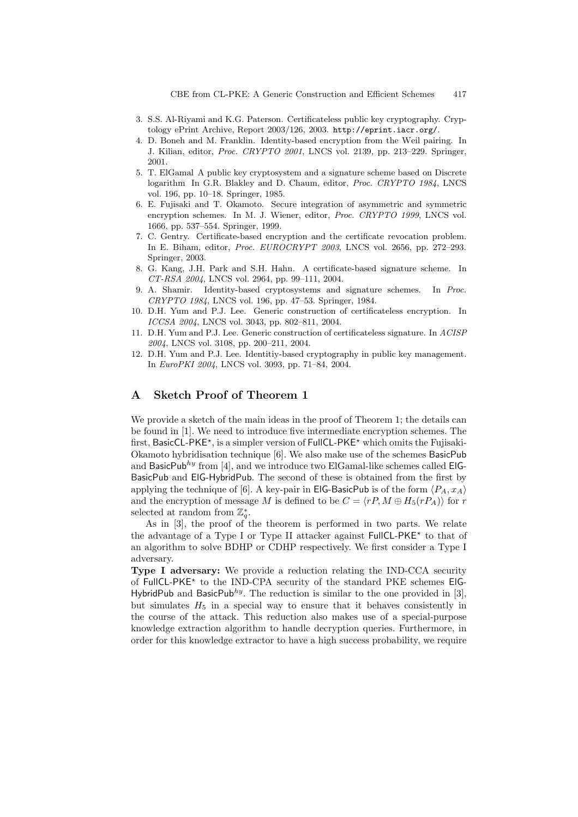- 3. S.S. Al-Riyami and K.G. Paterson. Certificateless public key cryptography. Cryptology ePrint Archive, Report 2003/126, 2003. http://eprint.iacr.org/.
- 4. D. Boneh and M. Franklin. Identity-based encryption from the Weil pairing. In J. Kilian, editor, Proc. CRYPTO 2001, LNCS vol. 2139, pp. 213–229. Springer, 2001.
- 5. T. ElGamal A public key cryptosystem and a signature scheme based on Discrete logarithm In G.R. Blakley and D. Chaum, editor, Proc. CRYPTO 1984, LNCS vol. 196, pp. 10–18. Springer, 1985.
- 6. E. Fujisaki and T. Okamoto. Secure integration of asymmetric and symmetric encryption schemes. In M. J. Wiener, editor, Proc. CRYPTO 1999, LNCS vol. 1666, pp. 537–554. Springer, 1999.
- 7. C. Gentry. Certificate-based encryption and the certificate revocation problem. In E. Biham, editor, Proc. EUROCRYPT 2003, LNCS vol. 2656, pp. 272–293. Springer, 2003.
- 8. G. Kang, J.H. Park and S.H. Hahn. A certificate-based signature scheme. In CT-RSA 2004, LNCS vol. 2964, pp. 99–111, 2004.
- 9. A. Shamir. Identity-based cryptosystems and signature schemes. In Proc. CRYPTO 1984, LNCS vol. 196, pp. 47–53. Springer, 1984.
- 10. D.H. Yum and P.J. Lee. Generic construction of certificateless encryption. In ICCSA 2004, LNCS vol. 3043, pp. 802–811, 2004.
- 11. D.H. Yum and P.J. Lee. Generic construction of certificateless signature. In ACISP 2004, LNCS vol. 3108, pp. 200–211, 2004.
- 12. D.H. Yum and P.J. Lee. Identitiy-based cryptography in public key management. In *EuroPKI 2004*, LNCS vol. 3093, pp. 71–84, 2004.

## A Sketch Proof of Theorem 1

We provide a sketch of the main ideas in the proof of Theorem 1; the details can be found in [1]. We need to introduce five intermediate encryption schemes. The first, BasicCL-PKE<sup>\*</sup>, is a simpler version of FullCL-PKE<sup>\*</sup> which omits the Fujisaki-Okamoto hybridisation technique [6]. We also make use of the schemes BasicPub and BasicPub<sup>hy</sup> from [4], and we introduce two ElGamal-like schemes called ElG-BasicPub and ElG-HybridPub. The second of these is obtained from the first by applying the technique of [6]. A key-pair in **EIG-BasicPub** is of the form  $\langle P_A, x_A \rangle$ and the encryption of message M is defined to be  $C = \langle rP, M \oplus H_5(rP_A) \rangle$  for r selected at random from  $\mathbb{Z}_q^*$ .

As in [3], the proof of the theorem is performed in two parts. We relate the advantage of a Type I or Type II attacker against FullCL-PKE<sup>\*</sup> to that of an algorithm to solve BDHP or CDHP respectively. We first consider a Type I adversary.

Type I adversary: We provide a reduction relating the IND-CCA security of FullCL-PKE<sup>\*</sup> to the IND-CPA security of the standard PKE schemes ElG-HybridPub and BasicPub<sup>hy</sup>. The reduction is similar to the one provided in [3], but simulates  $H_5$  in a special way to ensure that it behaves consistently in the course of the attack. This reduction also makes use of a special-purpose knowledge extraction algorithm to handle decryption queries. Furthermore, in order for this knowledge extractor to have a high success probability, we require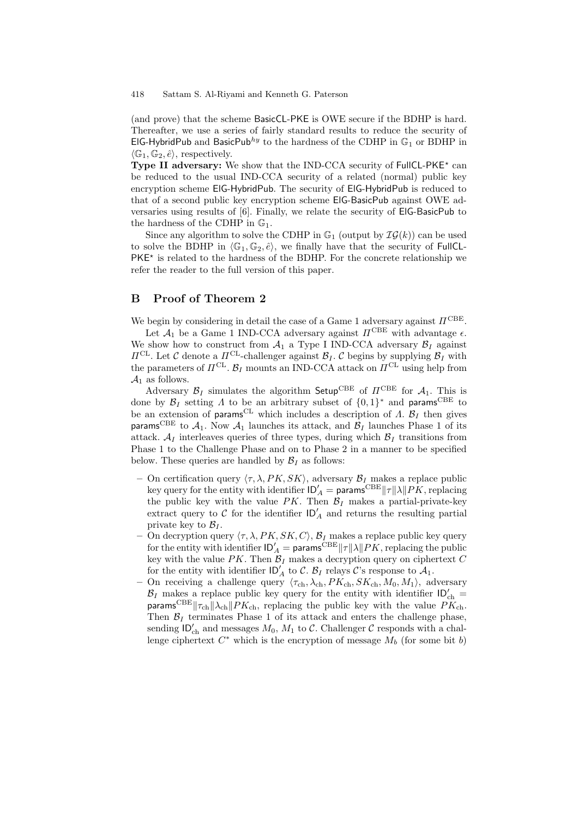(and prove) that the scheme BasicCL-PKE is OWE secure if the BDHP is hard. Thereafter, we use a series of fairly standard results to reduce the security of ElG-HybridPub and BasicPub<sup>hy</sup> to the hardness of the CDHP in  $\mathbb{G}_1$  or BDHP in  $\langle \mathbb{G}_1, \mathbb{G}_2, \hat{e} \rangle$ , respectively.

Type II adversary: We show that the IND-CCA security of FullCL-PKE<sup> $\star$ </sup> can be reduced to the usual IND-CCA security of a related (normal) public key encryption scheme ElG-HybridPub. The security of ElG-HybridPub is reduced to that of a second public key encryption scheme ElG-BasicPub against OWE adversaries using results of [6]. Finally, we relate the security of ElG-BasicPub to the hardness of the CDHP in  $\mathbb{G}_1$ .

Since any algorithm to solve the CDHP in  $\mathbb{G}_1$  (output by  $\mathcal{IG}(k)$ ) can be used to solve the BDHP in  $\langle \mathbb{G}_1, \mathbb{G}_2, \hat{e} \rangle$ , we finally have that the security of FullCL- $PKE^*$  is related to the hardness of the BDHP. For the concrete relationship we refer the reader to the full version of this paper.

## B Proof of Theorem 2

We begin by considering in detail the case of a Game 1 adversary against  $\Pi^{\mathrm{CBE}}$ .

Let  $\mathcal{A}_1$  be a Game 1 IND-CCA adversary against  $\Pi^{\mathrm{CBE}}$  with advantage  $\epsilon$ . We show how to construct from  $A_1$  a Type I IND-CCA adversary  $B_I$  against  $\Pi^{\text{CL}}$ . Let C denote a  $\Pi^{\text{CL}}$ -challenger against  $\mathcal{B}_I$ . C begins by supplying  $\mathcal{B}_I$  with the parameters of  $\Pi^{\text{CL}}$ .  $\mathcal{B}_I$  mounts an IND-CCA attack on  $\Pi^{\text{CL}}$  using help from  $A_1$  as follows.

Adversary  $\mathcal{B}_I$  simulates the algorithm Setup<sup>CBE</sup> of  $\Pi^{\text{CBE}}$  for  $\mathcal{A}_1$ . This is done by  $\mathcal{B}_I$  setting  $\Lambda$  to be an arbitrary subset of  $\{0,1\}^*$  and params<sup>CBE</sup> to be an extension of params<sup>CL</sup> which includes a description of  $\Lambda$ .  $\mathcal{B}_I$  then gives params<sup>CBE</sup> to  $A_1$ . Now  $A_1$  launches its attack, and  $B_I$  launches Phase 1 of its attack.  $A_I$  interleaves queries of three types, during which  $B_I$  transitions from Phase 1 to the Challenge Phase and on to Phase 2 in a manner to be specified below. These queries are handled by  $\mathcal{B}_I$  as follows:

- On certification query  $\langle \tau, \lambda, PK, SK \rangle$ , adversary  $\mathcal{B}_I$  makes a replace public key query for the entity with identifier  $|D_A| = p$  params  $CBE \|\tau\| \lambda \|PK$ , replacing the public key with the value  $PK$ . Then  $\mathcal{B}_I$  makes a partial-private-key extract query to  $C$  for the identifier  $ID'_{A}$  and returns the resulting partial private key to  $\mathcal{B}_I$ .
- On decryption query  $\langle \tau, \lambda, PK, SK, C \rangle$ ,  $\mathcal{B}_I$  makes a replace public key query for the entity with identifier  $\mathsf{ID}_A' = \mathsf{params}^{\text{CBE}} \| \tau \| \lambda \| P K$ , replacing the public key with the value  $PK$ . Then  $B_I$  makes a decryption query on ciphertext C for the entity with identifier  $\mathsf{ID}'_A$  to C.  $\mathcal{B}_I$  relays C's response to  $\mathcal{A}_1$ .
- On receiving a challenge query  $\langle \tau_{ch}, \lambda_{ch}, PK_{ch}, SK_{ch}, M_0, M_1 \rangle$ , adversary  $\mathcal{B}_I$  makes a replace public key query for the entity with identifier  $ID'_{ch} =$ params<sup>CBE</sup> $||\tau_{ch}||\lambda_{ch}||PK_{ch}$ , replacing the public key with the value  $PK_{ch}$ . Then  $\mathcal{B}_I$  terminates Phase 1 of its attack and enters the challenge phase, sending  $D'_{ch}$  and messages  $M_0$ ,  $M_1$  to C. Challenger C responds with a challenge ciphertext  $C^*$  which is the encryption of message  $\overline{M}_b$  (for some bit b)